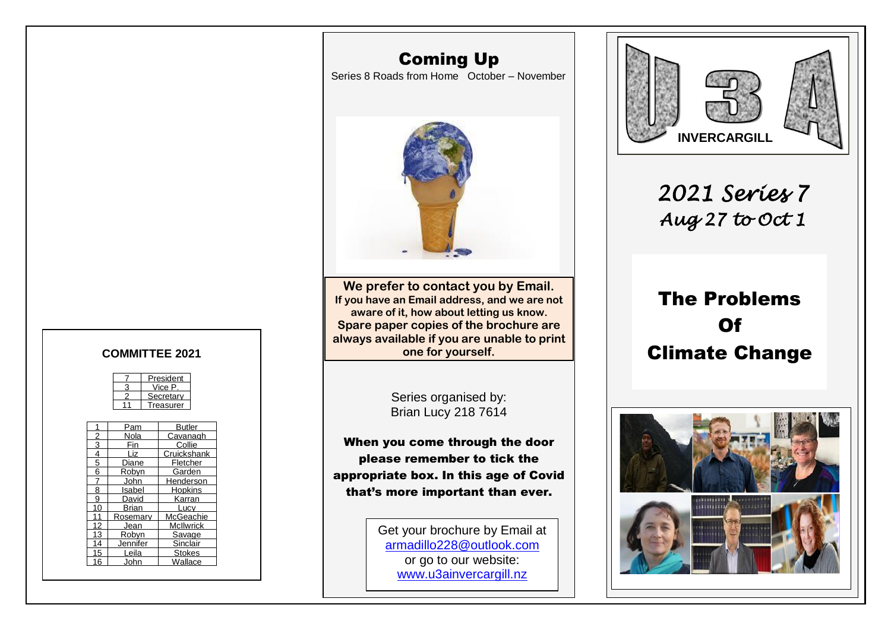### Coming Up

Series 8 Roads from Home October – November



**We prefer to contact you by Email. If you have an Email address, and we are not aware of it, how about letting us know. Spare paper copies of the brochure are always available if you are unable to print one for yourself.** COMMITTEE 2021 **COMMITTEE 2021** 

> Series organised by: Brian Lucy 218 7614

When you come through the door please remember to tick the appropriate box. In this age of Covid that's more important than ever.

> Get your brochure by Email at [armadillo228@outlook.com](mailto:armadillo228@outlook.com) or go to our website: [www.u3ainvercargill.nz](http://www.u3ainvercargill.nz/)



*2021 Series 7 Aug 27 to Oct 1* 

# The Problems  **Of**



|  | President |  |
|--|-----------|--|
|  | Vice P    |  |
|  | Secretary |  |
|  | Treasurer |  |
|  |           |  |

|    |          | Butler           |
|----|----------|------------------|
|    | Pam      |                  |
|    | Nola     | Cavanagh         |
| 3  |          | Collie           |
| 4  | Liz      | Cruickshank      |
| 5  | Diane    | Fletcher         |
| 6  | Robyn    | Garden           |
|    | John     | Henderson        |
| 8  | Isabel   | Hopkins          |
| 9  | David    | Karran           |
| 10 | Brian    | Lucv             |
| 11 | Rosemary | McGeachie        |
| 12 | Jean     | <b>McIlwrick</b> |
| 13 | Robyn    | Savage           |
| 14 | Jennifer | Sinclair         |
| 15 | Leila    | <b>Stokes</b>    |
| 16 | John     | Wallace          |